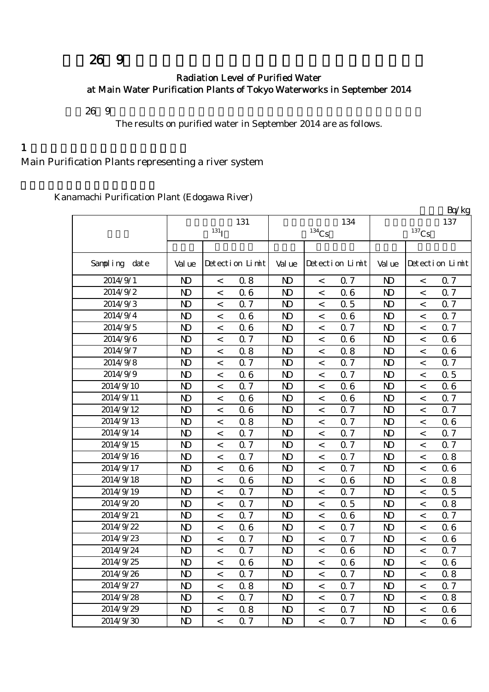# $269$

#### Radiation Level of Purified Water at Main Water Purification Plants of Tokyo Waterworks in September 2014

平成26年9月の主要浄水場の浄水(水道水)の放射能測定結果をお知らせします。

The results on purified water in September 2014 are as follows.

 $1$ 

Main Purification Plants representing a river system

Kanamachi Purification Plant (Edogawa River)

|               |                |                  |                 |                |          |                 |                |                     | Bq/kg           |
|---------------|----------------|------------------|-----------------|----------------|----------|-----------------|----------------|---------------------|-----------------|
|               |                |                  | 131             |                |          | 134             |                |                     | 137             |
|               |                | 131 <sub>I</sub> |                 |                | $134$ Cs |                 |                | $^{137}\mathrm{Cs}$ |                 |
|               |                |                  |                 |                |          |                 |                |                     |                 |
| Sampling date | Val ue         |                  | Detection Limit | Val ue         |          | Detection Limit | Val ue         |                     | Detection Limit |
| 2014/9/1      | N <sub>D</sub> | $\,<\,$          | 0.8             | N <sub>D</sub> | $\,<$    | 0.7             | $\mathbf{D}$   | $\,<$               | 0.7             |
| 2014/9/2      | $\mathbf{D}$   | $\,<\,$          | 06              | $\mathbf{D}$   | $\,<$    | 06              | $\mathbf{D}$   | $\,<$               | 0.7             |
| 2014/9/3      | $\mathbf{D}$   | $\,<\,$          | 0.7             | $\mathbf{D}$   | $\,<\,$  | 0.5             | $\mathbf{D}$   | $\,<$               | 0.7             |
| 2014/9/4      | N <sub>D</sub> | $\,<\,$          | 06              | $\mathbf{D}$   | $\,<\,$  | 06              | $\mathbf{D}$   | $\,<$               | 0.7             |
| 2014/9/5      | $\mathbf{D}$   | $\,<\,$          | 06              | $\mathbf{D}$   | $\,<\,$  | 0.7             | N <sub>D</sub> | $\,<$               | 0.7             |
| 2014/9/6      | N <sub>D</sub> | $\,<$            | 0.7             | $\mathbf{D}$   | $\,<$    | 06              | $\mathbf{D}$   | $\,<$               | 0.6             |
| 2014/9/7      | N <sub>D</sub> | $\,<\,$          | 0.8             | $\mathbf{D}$   | $\,<\,$  | 0.8             | N <sub>D</sub> | $\lt$               | 06              |
| 2014/9/8      | N <sub>D</sub> | $\,<\,$          | 0.7             | N <sub>D</sub> | $\,<\,$  | 0.7             | N <sub>D</sub> | $\,<\,$             | 0.7             |
| 2014/9/9      | $\mathbf{D}$   | $\,<\,$          | 06              | $\mathbf{D}$   | $\,<$    | 0.7             | $\mathbf{D}$   | $\,<$               | 0.5             |
| 2014/9/10     | N <sub>D</sub> | $\,<\,$          | 0.7             | N <sub>D</sub> | $\,<\,$  | 06              | N <sub>D</sub> | $\,<\,$             | 0.6             |
| 2014/9/11     | N <sub>D</sub> | $\,<\,$          | 06              | N <sub>D</sub> | $\,<$    | 06              | N <sub>D</sub> | $\,<$               | 0.7             |
| 2014/9/12     | N <sub>D</sub> | $\,<$            | 06              | N <sub>D</sub> | $\,<$    | 0.7             | N <sub>D</sub> | $\,<$               | 0.7             |
| 2014/9/13     | N <sub>D</sub> | $\,<\,$          | 0.8             | N <sub>D</sub> | $\,<$    | 0.7             | N <sub>D</sub> | $\,<$               | 0.6             |
| 2014/9/14     | N <sub>D</sub> | $\,<\,$          | Q 7             | N <sub>D</sub> | $\,<\,$  | Q 7             | N <sub>D</sub> | $\,<$               | 0.7             |
| 2014/9/15     | $\mathbf{D}$   | $\,<\,$          | 0.7             | $\mathbf{D}$   | $\,<\,$  | Q 7             | $\mathbf{D}$   | $\,<$               | 0.7             |
| 2014/9/16     | $\mathbf{D}$   | $\,<\,$          | 0.7             | $\mathbf{D}$   | $\,<\,$  | Q 7             | $\mathbf{D}$   | $\,<$               | 0.8             |
| 2014/9/17     | $\mathbf{D}$   | $\,<\,$          | 06              | $\mathbf{D}$   | $\,<\,$  | <b>Q</b> 7      | N <sub>D</sub> | $\,<$               | 0.6             |
| 2014/9/18     | N <sub>D</sub> | $\,<\,$          | 06              | $\mathbf{D}$   | $\,<\,$  | 06              | N <sub>D</sub> | $\,<$               | 0.8             |
| 2014/9/19     | N <sub>D</sub> | $\,<\,$          | 0.7             | $\mathbf{D}$   | $\,<$    | 0.7             | N <sub>D</sub> | $\,<$               | 0.5             |
| 2014/9/20     | N <sub>D</sub> | $\,<\,$          | Q 7             | $\mathbf{D}$   | $\,<\,$  | 0.5             | N <sub>D</sub> | $\,<$               | 0.8             |
| 2014/9/21     | N <sub>D</sub> | $\,<\,$          | Q 7             | $\mathbf{D}$   | $\,<\,$  | 06              | N <sub>D</sub> | $\,<$               | 0.7             |
| 2014/9/22     | N <sub>D</sub> | $\lt$            | 06              | $\mathbf{D}$   | $\,<\,$  | 0.7             | N <sub>D</sub> | $\,<$               | 06              |
| 2014/9/23     | $\mathbf{D}$   | $\,<\,$          | 0.7             | $\mathbf{D}$   | $\,<\,$  | Q 7             | $\mathbf{D}$   | $\,<\,$             | 0.6             |
| 2014/9/24     | N <sub>D</sub> | $\,<\,$          | 0.7             | N <sub>D</sub> | $\,<\,$  | 06              | N <sub>D</sub> | $\,<\,$             | 0.7             |
| 2014/9/25     | N <sub>D</sub> | $\,<$            | 06              | N <sub>D</sub> | $\,<\,$  | 06              | N <sub>D</sub> | $\,<$               | 06              |
| 2014/9/26     | N <sub>D</sub> | $\,<\,$          | 0.7             | N <sub>D</sub> | $\,<$    | Q 7             | N <sub>D</sub> | $\,<$               | 0.8             |
| 2014/9/27     | $\mathbf{D}$   | $\,<\,$          | 0.8             | $\mathbf{D}$   | $\,<\,$  | 0.7             | N <sub>D</sub> | $\,<$               | 0.7             |
| 2014/9/28     | N <sub>D</sub> | $\,<\,$          | 0.7             | $\mathbf{D}$   | $\,<\,$  | Q 7             | $\mathbf{D}$   | $\,<\,$             | 0.8             |
| 2014/9/29     | $\mathbf{D}$   | $\,<\,$          | 0.8             | $\mathbf{D}$   | $\,<$    | Q 7             | $\mathbf{D}$   | $\,<$               | 0.6             |
| 2014/9/30     | $\mathbf{D}$   | $\,<\,$          | 0.7             | $\mathbf{D}$   | $\,<$    | 0.7             | N <sub>D</sub> | $\overline{<}$      | 06              |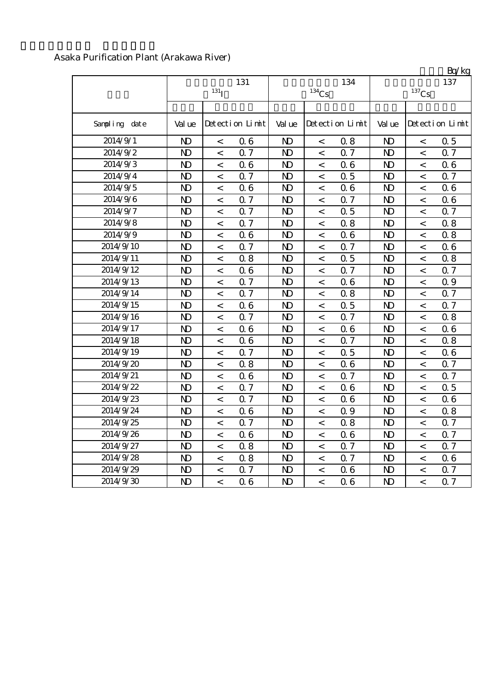|               |                |                  |                 |                     |         |                 |                |                | Bq/kg           |
|---------------|----------------|------------------|-----------------|---------------------|---------|-----------------|----------------|----------------|-----------------|
|               |                | 131              |                 | $^{134}\mathrm{Cs}$ | 134     | 137<br>$137$ Cs |                |                |                 |
|               |                | 131 <sub>I</sub> |                 |                     |         |                 |                |                |                 |
| Sampling date | Val ue         |                  | Detection Limit | Val ue              |         | Detection Limit | Val ue         |                | Detection Limit |
| 2014/9/1      | N <sub>D</sub> | $\,<\,$          | 06              | N <sub>D</sub>      | $\,<$   | 0.8             | N <sub>D</sub> | $\,<$          | 0.5             |
| 2014/9/2      | $\mathbf{D}$   | $\,<\,$          | 0.7             | $\mathbf{D}$        | $\,<$   | 0.7             | $\mathbf{D}$   | $\,<$          | 0.7             |
| 2014/9/3      | N <sub>D</sub> | $\,<\,$          | 06              | N <sub>D</sub>      | $\,<\,$ | 06              | $\mathbf{D}$   | $\,<\,$        | 0.6             |
| 2014/9/4      | N <sub>D</sub> | $\lt$            | 0.7             | $\mathbf{D}$        | $\lt$   | 0.5             | $\mathbf{D}$   | $\,<$          | 0.7             |
| 2014/9/5      | N <sub>D</sub> | $\,<\,$          | 06              | $\mathbf{D}$        | $\,<$   | 06              | N <sub>D</sub> | $\,<\,$        | 0.6             |
| 2014/9/6      | $\mathbf{D}$   | $\,<$            | 0.7             | $\mathbf{D}$        | $\,<$   | Q 7             | $\mathbf{D}$   | $\,<$          | 0.6             |
| 2014/9/7      | N <sub>D</sub> | $\,<$            | 0.7             | N <sub>D</sub>      | $\,<$   | 0.5             | N <sub>D</sub> | $\,<$          | 0.7             |
| 2014/9/8      | N <sub>D</sub> | $\,<$            | 0.7             | N <sub>D</sub>      | $\,<$   | 0.8             | $\mathbf{D}$   | $\,<$          | 0.8             |
| 2014/9/9      | N <sub>D</sub> | $\,<$            | 06              | N <sub>D</sub>      | $\,<$   | 06              | $\mathbf{D}$   | $\,<$          | 0.8             |
| 2014/9/10     | $\mathbf{D}$   | $\,<$            | 0.7             | $\mathbf{D}$        | $\,<$   | 0.7             | $\mathbf{D}$   | $\,<$          | 0.6             |
| 2014/9/11     | N <sub>D</sub> | $\,<\,$          | 0.8             | N <sub>D</sub>      | $\,<\,$ | 0.5             | $\mathbf{D}$   | $\,<$          | 0.8             |
| 2014/9/12     | $\mathbf{D}$   | $\,<\,$          | 06              | $\mathbf{D}$        | $\,<$   | 0.7             | $\mathbf{D}$   | $\,<$          | 0.7             |
| 2014/9/13     | $\mathbf{D}$   | $\,<$            | Q 7             | $\mathbf{D}$        | $\,<$   | 06              | $\mathbf{D}$   | $\,<$          | 0.9             |
| 2014/9/14     | $\mathbf{D}$   | $\,<\,$          | 0.7             | $\mathbf{D}$        | $\,<$   | 0.8             | $\mathbf{D}$   | $\,<$          | 0.7             |
| 2014/9/15     | N <sub>D</sub> | $\,<\,$          | 06              | $\mathbf{D}$        | $\,<$   | 0.5             | N <sub>D</sub> | $\,<$          | 0.7             |
| 2014/9/16     | N <sub>D</sub> | $\,<$            | 0.7             | $\mathbf{D}$        | $\,<$   | 0.7             | $\mathbf{D}$   | $\overline{a}$ | 0.8             |
| 2014/9/17     | N <sub>D</sub> | $\,<\,$          | 06              | $\mathbf{D}$        | $\,<$   | 06              | $\mathbf{D}$   | $\,<$          | 0.6             |
| 2014/9/18     | N <sub>D</sub> | $\,<\,$          | 06              | N <sub>D</sub>      | $\,<\,$ | 0.7             | $\mathbf{D}$   | $\,<\,$        | 0.8             |
| 2014/9/19     | N <sub>D</sub> | $\,<$            | 0.7             | $\mathbf{D}$        | $\lt$   | 0.5             | $\mathbf{N}$   | $\,<$          | 0.6             |
| 2014/9/20     | N <sub>D</sub> | $\,<\,$          | 0.8             | $\mathbf{D}$        | $\,<\,$ | 06              | N <sub>D</sub> | $\,<\,$        | 0.7             |
| 2014/9/21     | $\mathbf{D}$   | $\,<\,$          | 06              | $\mathbf{D}$        | $\,<$   | 0.7             | $\mathbf{D}$   | $\,<\,$        | 0.7             |
| 2014/9/22     | $\mathbf{D}$   | $\,<\,$          | 0.7             | N <sub>D</sub>      | $\,<$   | 06              | $\mathbf{D}$   | $\,<\,$        | 0.5             |
| 2014/9/23     | N <sub>D</sub> | $\,<\,$          | 0.7             | $\mathbf{D}$        | $\,<$   | 06              | $\mathbf{D}$   | $\,<$          | 0.6             |
| 2014/9/24     | N <sub>D</sub> | $\,<$            | 06              | N <sub>D</sub>      | $\,<$   | 0.9             | N <sub>D</sub> | $\,<$          | 0.8             |
| 2014/9/25     | N <sub>D</sub> | $\,<$            | 0.7             | N <sub>D</sub>      | $\,<$   | 0.8             | $\mathbf{D}$   | $\,<$          | 0.7             |
| 2014/9/26     | N <sub>D</sub> | $\,<$            | 06              | $\mathbf{D}$        | $\,<\,$ | 06              | $\mathbf{D}$   | $\,<\,$        | 0.7             |
| 2014/9/27     | N <sub>D</sub> | $\,<\,$          | 0.8             | N <sub>D</sub>      | $\,<\,$ | 0.7             | $\mathbf{D}$   | $\,<\,$        | 0.7             |
| 2014/9/28     | $\mathbf{D}$   | $\,<$            | 0.8             | $\mathbf{D}$        | $\,<$   | Q 7             | $\mathbf{D}$   | $\,<$          | 0.6             |
| 2014/9/29     | $\mathbf{D}$   | $\,<\,$          | 0.7             | $\mathbf{D}$        | $\,<$   | 06              | $\mathbf{D}$   | $\,<$          | 0.7             |
| 2014/9/30     | N <sub>D</sub> | $\,<\,$          | 06              | $\mathbf{D}$        | $\,<$   | 06              | $\mathbf{D}$   | $\prec$        | 0.7             |

#### Asaka Purification Plant (Arakawa River)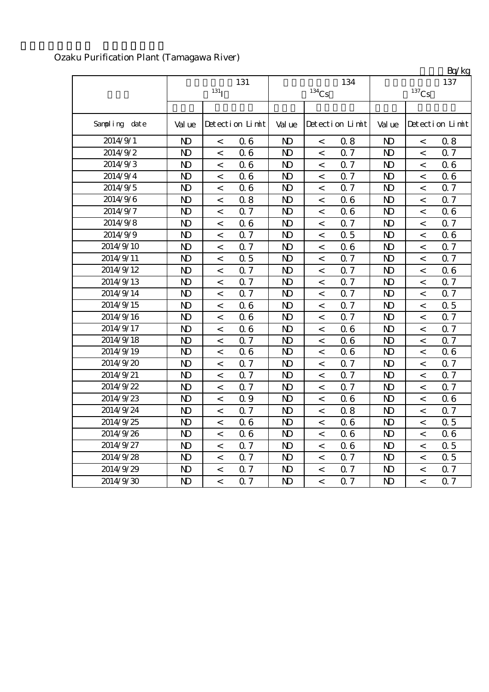|               |                |                    |                 |              |                          |                 |                |                          | Bq/kg            |
|---------------|----------------|--------------------|-----------------|--------------|--------------------------|-----------------|----------------|--------------------------|------------------|
|               |                | 131                |                 |              | 134                      | 137             |                |                          |                  |
|               |                | $131$ <sub>I</sub> |                 |              | $^{134}\mathrm{Cs}$      |                 | $137$ Cs       |                          |                  |
|               |                |                    |                 |              |                          |                 |                |                          |                  |
| Sampling date | Val ue         |                    | Detection Limit | Val ue       |                          | Detection Limit | Val ue         |                          | Detection Limit  |
| 2014/9/1      | $\mathbf{D}$   | $\,<\,$            | 06              | $\mathbf{D}$ | $\,<\,$                  | 0.8             | $\mathbf{D}$   | $\,<\,$                  | 0.8              |
| 2014/9/2      | N <sub>D</sub> | $\,<\,$            | 06              | $\mathbf{D}$ | $\,<\,$                  | 0.7             | $\mathbf{D}$   | $\,<\,$                  | 0.7              |
| 2014/9/3      | $\mathbf{D}$   | $\overline{<}$     | 06              | $\mathbf{D}$ | $\,<$                    | 0.7             | $\mathbf{D}$   | $\,<\,$                  | 0.6              |
| 2014/9/4      | $\mathbf{D}$   | $\,<$              | 06              | $\mathbf{D}$ | $\,<$                    | 0.7             | $\mathbf{D}$   | $\,<\,$                  | 0.6              |
| 2014/9/5      | $\mathbf{D}$   | $\,<$              | 06              | $\mathbf{D}$ | $\,<\,$                  | 0.7             | $\mathbf{D}$   | $\,<\,$                  | 0.7              |
| 2014/9/6      | $\mathbf{D}$   | $\,<$              | 0.8             | $\mathbf{D}$ | $\,<\,$                  | 06              | N <sub>D</sub> | $\,<\,$                  | 0.7              |
| 2014/9/7      | $\mathbf{D}$   | $\,<\,$            | 0.7             | $\mathbf{D}$ | $\lt$                    | 06              | $\mathbf{D}$   | $\,<\,$                  | 0.6              |
| 2014/9/8      | N <sub>D</sub> | $\,<\,$            | 06              | $\mathbf{D}$ | $\,<\,$                  | 0.7             | $\mathbf{D}$   | $\,<\,$                  | 0.7              |
| 2014/9/9      | $\mathbf{D}$   | $\,<\,$            | 0.7             | $\mathbf{D}$ | $\,<\,$                  | 0.5             | $\mathbf{D}$   | $\,<\,$                  | 0.6              |
| 2014/9/10     | $\mathbf{D}$   | $\,<$              | 0.7             | $\mathbf{D}$ | $\overline{\phantom{0}}$ | 06              | $\mathbf{D}$   | $\,<$                    | 0.7              |
| 2014/9/11     | $\mathbf{D}$   | $\lt$              | 0.5             | $\mathbf{D}$ | $\,<$                    | 0.7             | $\mathbf{D}$   | $\,<\,$                  | 0.7              |
| 2014/9/12     | $\mathbf{D}$   | $\,<$              | 0.7             | $\mathbf{D}$ | $\,<$                    | Q 7             | $\mathbf{D}$   | $\,<$                    | 0.6              |
| 2014/9/13     | $\mathbf{D}$   | $\,<$              | Q <sub>7</sub>  | $\mathbf{D}$ | $\,<$                    | Q 7             | $\mathbf{D}$   | $\overline{\phantom{0}}$ | 0.7              |
| 2014/9/14     | $\mathbf{D}$   | $\,<\,$            | 0.7             | $\mathbf{D}$ | $\overline{\phantom{0}}$ | Q 7             | $\mathbf{D}$   | $\overline{\phantom{0}}$ | 0.7              |
| 2014/9/15     | N <sub>D</sub> | $\,<\,$            | 06              | $\mathbf{D}$ | $\,<\,$                  | 0.7             | $\mathbf{D}$   | $\,<\,$                  | 0.5              |
| 2014/9/16     | $\mathbf{D}$   | $\,<\,$            | 06              | $\mathbf{D}$ | $\,<\,$                  | 0.7             | $\mathbf{D}$   | $\,<\,$                  | 0.7              |
| 2014/9/17     | $\mathbf{D}$   | $\prec$            | 06              | $\mathbf{D}$ | $\lt$                    | 06              | $\mathbf{D}$   | $\,<\,$                  | 0.7              |
| 2014/9/18     | $\mathbf{D}$   | $\,<$              | 0.7             | $\mathbf{D}$ | $\lt$                    | 06              | $\mathbf{D}$   | $\,<$                    | 0.7              |
| 2014/9/19     | $\mathbf{D}$   | $\,<$              | 06              | $\mathbf{D}$ | $\,<$                    | 06              | $\mathbf{D}$   | $\,<\,$                  | 0.6              |
| 2014/9/20     | $\mathbf{D}$   | $\,<$              | 0.7             | $\mathbf{D}$ | $\,<\,$                  | 0.7             | $\mathbf{D}$   | $\,<\,$                  | 0.7              |
| 2014/9/21     | $\mathbf{D}$   | $\,<\,$            | 0.7             | $\mathbf{D}$ | $\,<\,$                  | 0.7             | $\mathbf{D}$   | $\,<\,$                  | 0.7              |
| 2014/9/22     | $\mathbf{D}$   | $\,<\,$            | 0.7             | $\mathbf{D}$ | $\,<\,$                  | 0.7             | N <sub>D</sub> | $\,<\,$                  | 0.7              |
| 2014/9/23     | N <sub>D</sub> | $\,<\,$            | 0.9             | $\mathbf{D}$ | $\,<\,$                  | 06              | $\mathbf{D}$   | $\,<\,$                  | 0.6              |
| 2014/9/24     | $\mathbf{D}$   | $\,<\,$            | 0.7             | $\mathbf{D}$ | $\,<\,$                  | 0.8             | $\mathbf{D}$   | $\,<\,$                  | 0.7              |
| 2014/9/25     | $\mathbf{D}$   | $\,<$              | 06              | $\mathbf{D}$ | $\,<\,$                  | 06              | $\mathbf{D}$   | $\,<\,$                  | 0.5              |
| 2014/9/26     | $\mathbf{D}$   | $\,<$              | 06              | $\mathbf{D}$ | $\,<\,$                  | 06              | $\mathbf{D}$   | $\,<\,$                  | 0.6              |
| 2014/9/27     | N <sub>D</sub> | $\,<$              | 0.7             | $\mathbf{D}$ | $\,<\,$                  | 06              | $\mathbf{D}$   | $\,<$                    | 0.5              |
| 2014/9/28     | $\mathbf{D}$   | $\,<\,$            | 0.7             | $\mathbf{D}$ | $\,<\,$                  | 0.7             | $\mathbf{D}$   | $\overline{\phantom{0}}$ | 0.5              |
| 2014/9/29     | N <sub>D</sub> | $\,<\,$            | 0.7             | $\mathbf{D}$ | $\,<\,$                  | 0.7             | N <sub>D</sub> | $\overline{\phantom{0}}$ | 0.7              |
| 2014/9/30     | $\mathbf{D}$   | $\overline{<}$     | Q <sub>7</sub>  | $\mathbf{D}$ | $\overline{a}$           | Q <sub>7</sub>  | $\mathbf{D}$   | $\overline{a}$           | $0.\overline{7}$ |

## Ozaku Purification Plant (Tamagawa River)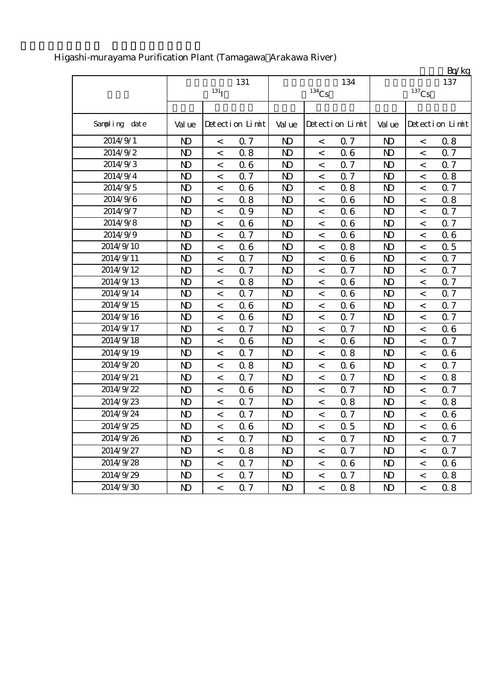|               |                |                    |                 |                |                          |                 |                |          | Bq/kg           |
|---------------|----------------|--------------------|-----------------|----------------|--------------------------|-----------------|----------------|----------|-----------------|
|               |                |                    | 131             |                |                          | 134             |                |          | 137             |
|               |                | $131$ <sup>T</sup> |                 |                | $^{134}\mathrm{Cs}$      |                 |                | $137$ Cs |                 |
|               |                |                    |                 |                |                          |                 |                |          |                 |
| Sampling date | Val ue         |                    | Detection Limit | Val ue         |                          | Detection Limit | Val ue         |          | Detection Limit |
| 2014/9/1      | N <sub>D</sub> | $\,<$              | 0.7             | N <sub>D</sub> | $\,<$                    | 0.7             | $\mathbf{D}$   | $\,<$    | 0.8             |
| 2014/9/2      | $\mathbf{D}$   | $\,<$              | 0.8             | N <sub>D</sub> | $\,<\,$                  | 06              | $\mathbf{D}$   | $\lt$    | 0.7             |
| 2014/9/3      | N <sub>D</sub> | $\,<$              | 06              | N <sub>D</sub> | $\,<\,$                  | 0.7             | N <sub>D</sub> | $\,<$    | 0.7             |
| 2014/9/4      | $\mathbf{D}$   | $\,<$              | 0.7             | N <sub>D</sub> | $\,<$                    | 0.7             | $\mathbf{D}$   | $\,<$    | 0.8             |
| 2014/9/5      | $\mathbf{D}$   | $\,<$              | 06              | N <sub>D</sub> | $\,<\,$                  | 0.8             | $\mathbf{D}$   | $\,<$    | 0.7             |
| 2014/9/6      | $\mathbf{D}$   | $\,<$              | 0.8             | N <sub>D</sub> | $\,<\,$                  | 06              | N <sub>D</sub> | $\,<$    | 0.8             |
| 2014/9/7      | $\mathbf{D}$   | $\,<$              | 0.9             | N <sub>D</sub> | $\,<$                    | 06              | N <sub>D</sub> | $\,<$    | 0.7             |
| 2014/9/8      | $\mathbf{D}$   | $\,<$              | 06              | N <sub>D</sub> | $\,<\,$                  | 06              | N <sub>D</sub> | $\,<$    | 0.7             |
| 2014/9/9      | $\mathbf{D}$   | $\,<$              | 0.7             | N <sub>D</sub> | $\,<$                    | 06              | N <sub>D</sub> | $\,<$    | 0.6             |
| 2014/9/10     | $\mathbf{D}$   | $\,<$              | 06              | $\mathbf{D}$   | $\,<\,$                  | 0.8             | $\mathbf{D}$   | $\,<$    | 0.5             |
| 2014/9/11     | $\mathbf{D}$   | $\overline{a}$     | 0.7             | N <sub>D</sub> | $\,<\,$                  | 06              | $\mathbf{D}$   | $\,<$    | 0.7             |
| 2014/9/12     | $\mathbf{D}$   | $\,<$              | 0.7             | N <sub>D</sub> | $\,<$                    | 0.7             | $\mathbf{D}$   | $\,<$    | 0.7             |
| 2014/9/13     | $\mathbf{D}$   | $\,<$              | 0.8             | $\mathbf{D}$   | $\,<$                    | 06              | $\mathbf{D}$   | $\,<$    | 0.7             |
| 2014/9/14     | N <sub>D</sub> | $\,<$              | 0.7             | N <sub>D</sub> | $\,<\,$                  | 06              | N <sub>D</sub> | $\,<$    | 0.7             |
| 2014/9/15     | $\mathbf{D}$   | $\,<$              | 06              | N <sub>D</sub> | $\,<\,$                  | 06              | N <sub>D</sub> | $\,<$    | 0.7             |
| 2014/9/16     | $\mathbf{D}$   | $\,<$              | 06              | $\mathbf{D}$   | $\,<\,$                  | 0.7             | $\mathbf{D}$   | $\,<$    | 0.7             |
| 2014/9/17     | N <sub>D</sub> | $\,<$              | 0.7             | N <sub>D</sub> | $\,<$                    | 0.7             | N <sub>D</sub> | $\,<$    | 0.6             |
| 2014/9/18     | $\mathbf{D}$   | $\,<$              | 06              | $\mathbf{D}$   | $\,<\,$                  | 06              | $\mathbf{D}$   | $\,<\,$  | 0.7             |
| 2014/9/19     | $\mathbf{D}$   | $\,<$              | 0.7             | N <sub>D</sub> | $\,<$                    | 0.8             | N <sub>D</sub> | $\,<$    | 0.6             |
| 2014/9/20     | $\mathbf{D}$   | $\,<$              | 0.8             | N <sub>D</sub> | $\,<$                    | 06              | $\mathbf{D}$   | $\,<$    | 0.7             |
| 2014/9/21     | $\mathbf{D}$   | $\,<$              | 0.7             | N <sub>D</sub> | $\,<\,$                  | 0.7             | $\mathbf{D}$   | $\,<$    | 0.8             |
| 2014/9/22     | $\mathbf{D}$   | $\,<$              | 06              | N <sub>D</sub> | $\,<\,$                  | 0.7             | N <sub>D</sub> | $\,<$    | 0.7             |
| 2014/9/23     | $\mathbf{D}$   | $\,<$              | 0.7             | N <sub>D</sub> | $\,<$                    | 0.8             | N <sub>D</sub> | $\,<$    | 0.8             |
| 2014/9/24     | $\mathbf{D}$   | $\,<$              | 0.7             | N <sub>D</sub> | $\,<\,$                  | <b>Q</b> 7      | $\mathbf{D}$   | $\,<$    | 0.6             |
| 2014/9/25     | N <sub>D</sub> | $\,<$              | 06              | N <sub>D</sub> | $\,<$                    | 0.5             | N <sub>D</sub> | $\,<$    | 06              |
| 2014/9/26     | N <sub>D</sub> | $\,<\,$            | 0.7             | N <sub>D</sub> | $\,<$                    | 0.7             | N <sub>D</sub> | $\,<\,$  | 0.7             |
| 2014/9/27     | $\mathbf{D}$   | $\,<\,$            | 0.8             | N <sub>D</sub> | $\overline{\phantom{0}}$ | 0.7             | $\mathbf{D}$   | $\prec$  | 0.7             |
| 2014/9/28     | N <sub>D</sub> | $\,<$              | 0.7             | N <sub>D</sub> | $\,<\,$                  | 06              | N <sub>D</sub> | $\,<\,$  | 06              |
| 2014/9/29     | $\mathbf{D}$   | $\,<\,$            | 0.7             | N <sub>D</sub> | $\,<$                    | 0.7             | N <sub>D</sub> | $\,<$    | 0.8             |
| 2014/9/30     | N <sub>D</sub> | $\,<\,$            | 0.7             | $\mathbf{D}$   | $\,<$                    | 0.8             | N <sub>D</sub> | $\,<\,$  | 0.8             |

## Higashi-murayama Purification Plant (Tamagawa Arakawa River)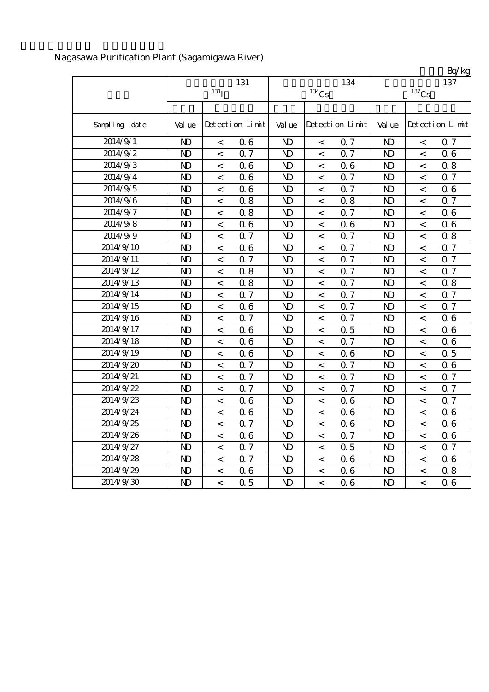|               |                |                    |                 |                |         |                 |                |                          | Bq/kg           |  |
|---------------|----------------|--------------------|-----------------|----------------|---------|-----------------|----------------|--------------------------|-----------------|--|
|               | 131            |                    |                 |                |         | 134             | 137            |                          |                 |  |
|               |                | $131$ <sub>I</sub> |                 | $134$ Cs       |         |                 | $137$ Cs       |                          |                 |  |
|               |                |                    |                 |                |         |                 |                |                          |                 |  |
| Sampling date | Val ue         |                    | Detection Limit | Val ue         |         | Detection Limit | Val ue         |                          | Detection Limit |  |
| 2014/9/1      | $\mathbf{D}$   | $\,<$              | 06              | $\mathbf{D}$   | $\,<$   | Q 7             | $\mathbf{D}$   | $\,<$                    | 0.7             |  |
| 2014/9/2      | $\mathbf{D}$   | $\,<$              | 0.7             | N <sub>D</sub> | $\,<\,$ | 0.7             | $\mathbf{D}$   | $\,<\,$                  | 0.6             |  |
| 2014/9/3      | $\mathbf{D}$   | $\,<$              | 06              | $\mathbf{D}$   | $\,<$   | 06              | $\mathbf{D}$   | $\,<$                    | 0.8             |  |
| 2014/9/4      | $\mathbf{D}$   | $\,<$              | 06              | N <sub>D</sub> | $\,<\,$ | 0.7             | N <sub>D</sub> | $\,<\,$                  | 0.7             |  |
| 2014/9/5      | $\mathbf{D}$   | $\,<$              | 06              | $\mathbf{D}$   | $\,<$   | Q 7             | N <sub>D</sub> | $\,<$                    | 0.6             |  |
| 2014/9/6      | $\mathbf{D}$   | $\,<$              | 0.8             | N <sub>D</sub> | $\,<$   | 0.8             | N <sub>D</sub> | $\,<\,$                  | 0.7             |  |
| 2014/9/7      | $\mathbf{D}$   | $\,<\,$            | 0.8             | N <sub>D</sub> | $\,<\,$ | 0.7             | $\mathbf{D}$   | $\,<\,$                  | 0.6             |  |
| 2014/9/8      | $\mathbf{D}$   | $\,<$              | 06              | N <sub>D</sub> | $\,<\,$ | 06              | $\mathbf{D}$   | $\,<$                    | 0.6             |  |
| 2014/9/9      | $\mathbf{D}$   | $\,<$              | 0.7             | N <sub>D</sub> | $\,<\,$ | 0.7             | $\mathbf{D}$   | $\,<\,$                  | 0.8             |  |
| 2014/9/10     | $\mathbf{D}$   | $\,<$              | 06              | N <sub>D</sub> | $\,<\,$ | 0.7             | $\mathbf{D}$   | $\,<$                    | 0.7             |  |
| 2014/9/11     | $\mathbf{D}$   | $\,<$              | 0.7             | N <sub>D</sub> | $\,<\,$ | Q 7             | $\mathbf{D}$   | $\,<$                    | 0.7             |  |
| 2014/9/12     | $\mathbf{D}$   | $\,<$              | 0.8             | N <sub>D</sub> | $\,<\,$ | 0.7             | $\mathbf{D}$   | $\,<\,$                  | 0.7             |  |
| 2014/9/13     | N <sub>D</sub> | $\,<$              | 0.8             | $\mathbf{D}$   | $\,<\,$ | Q 7             | N <sub>D</sub> | $\,<$                    | 0.8             |  |
| 2014/9/14     | N <sub>D</sub> | $\,<$              | 0.7             | N <sub>D</sub> | $\,<\,$ | 0.7             | N <sub>D</sub> | $\overline{\phantom{a}}$ | 0.7             |  |
| 2014/9/15     | $\mathbf{D}$   | $\,<$              | 06              | N <sub>D</sub> | $\,<\,$ | 0.7             | N <sub>D</sub> | $\,<$                    | 0.7             |  |
| 2014/9/16     | $\mathbf{D}$   | $\,<$              | 0.7             | $\mathbf{D}$   | $\,<$   | 0.7             | $\mathbf{D}$   | $\,<\,$                  | 06              |  |
| 2014/9/17     | $\mathbf{D}$   | $\,<$              | 06              | $\mathbf{D}$   | $\,<$   | 0.5             | $\mathbf{D}$   | $\,<$                    | 0.6             |  |
| 2014/9/18     | $\mathbf{D}$   | $\,<$              | 06              | $\mathbf{D}$   | $\,<$   | Q 7             | $\mathbf{D}$   | $\,<$                    | 0.6             |  |
| 2014/9/19     | $\mathbf{D}$   | $\,<$              | 06              | N <sub>D</sub> | $\,<\,$ | 06              | N <sub>D</sub> | $\,<\,$                  | 0.5             |  |
| 2014/9/20     | N <sub>D</sub> | $\,<$              | 0.7             | N <sub>D</sub> | $\,<\,$ | 0.7             | N <sub>D</sub> | $\,<$                    | 0.6             |  |
| 2014/9/21     | N <sub>D</sub> | $\,<$              | 0.7             | N <sub>D</sub> | $\,<\,$ | 0.7             | N <sub>D</sub> | $\,<$                    | 0.7             |  |
| 2014/9/22     | $\mathbf{D}$   | $\,<$              | 0.7             | N <sub>D</sub> | $\,<\,$ | 0.7             | $\mathbf{D}$   | $\,<$                    | 0.7             |  |
| 2014/9/23     | $\mathbf{D}$   | $\,<$              | 06              | N <sub>D</sub> | $\,<\,$ | 06              | $\mathbf{D}$   | $\lt$                    | 0.7             |  |
| 2014/9/24     | $\mathbf{D}$   | $\,<$              | 06              | N <sub>D</sub> | $\,<$   | 06              | $\mathbf{D}$   | $\,<$                    | 0.6             |  |
| 2014/9/25     | $\mathbf{D}$   | $\,<$              | Q 7             | N <sub>D</sub> | $\,<$   | 06              | $\mathbf{D}$   | $\,<$                    | 0.6             |  |
| 2014/9/26     | $\mathbf{D}$   | $\,<$              | 06              | N <sub>D</sub> | $\,<\,$ | 0.7             | N <sub>D</sub> | $\,<\,$                  | 0.6             |  |
| 2014/9/27     | $\mathbf{D}$   | $\,<$              | 0.7             | $\mathbf{D}$   | $\,<\,$ | 0.5             | N <sub>D</sub> | $\,<$                    | 0.7             |  |
| 2014/9/28     | $\mathbf{D}$   | $\,<$              | 0.7             | $\mathbf{D}$   | $\,<$   | 06              | $\mathbf{D}$   | $\,<$                    | 0.6             |  |
| 2014/9/29     | $\mathbf{D}$   | $\,<$              | 06              | N <sub>D</sub> | $\,<\,$ | 06              | N <sub>D</sub> | $\,<$                    | 0.8             |  |
| 2014/9/30     | $\mathbf{D}$   | $\prec$            | 0.5             | N <sub>D</sub> | $\,<\,$ | 06              | N <sub>D</sub> | $\,<$                    | 0.6             |  |

## Nagasawa Purification Plant (Sagamigawa River)